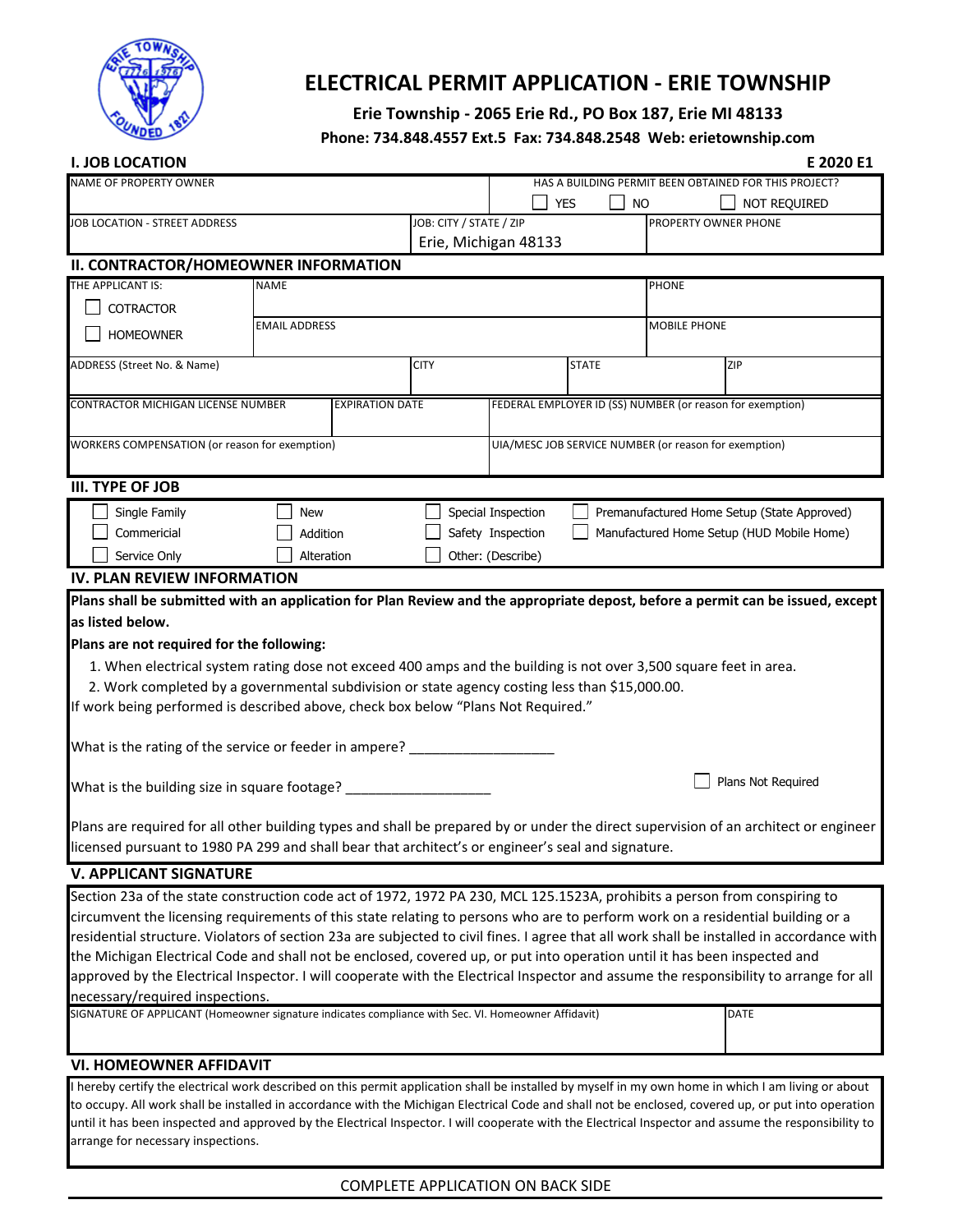

# **ELECTRICAL PERMIT APPLICATION - ERIE TOWNSHIP**

## **Erie Township - 2065 Erie Rd., PO Box 187, Erie MI 48133**

#### **Phone: 734.848.4557 Ext.5 Fax: 734.848.2548 Web: erietownship.com**

| <b>I. JOB LOCATION</b>                                                                                                                                                                                                                                                      |             |                                                       |                        |                                                       |                         |                   |                                             |                                                           | E 2020 E1    |  |  |
|-----------------------------------------------------------------------------------------------------------------------------------------------------------------------------------------------------------------------------------------------------------------------------|-------------|-------------------------------------------------------|------------------------|-------------------------------------------------------|-------------------------|-------------------|---------------------------------------------|-----------------------------------------------------------|--------------|--|--|
| NAME OF PROPERTY OWNER                                                                                                                                                                                                                                                      |             | HAS A BUILDING PERMIT BEEN OBTAINED FOR THIS PROJECT? |                        |                                                       |                         |                   |                                             |                                                           |              |  |  |
|                                                                                                                                                                                                                                                                             |             |                                                       |                        |                                                       |                         | <b>YES</b>        | NO                                          |                                                           | NOT REQUIRED |  |  |
| JOB LOCATION - STREET ADDRESS                                                                                                                                                                                                                                               |             |                                                       |                        |                                                       | JOB: CITY / STATE / ZIP |                   |                                             | PROPERTY OWNER PHONE                                      |              |  |  |
|                                                                                                                                                                                                                                                                             |             |                                                       | Erie, Michigan 48133   |                                                       |                         |                   |                                             |                                                           |              |  |  |
| II. CONTRACTOR/HOMEOWNER INFORMATION                                                                                                                                                                                                                                        |             |                                                       |                        |                                                       |                         |                   |                                             |                                                           |              |  |  |
| THE APPLICANT IS:                                                                                                                                                                                                                                                           | <b>NAME</b> |                                                       |                        |                                                       |                         |                   |                                             | <b>PHONE</b>                                              |              |  |  |
| <b>COTRACTOR</b>                                                                                                                                                                                                                                                            |             | <b>EMAIL ADDRESS</b>                                  |                        |                                                       |                         |                   |                                             | <b>MOBILE PHONE</b>                                       |              |  |  |
| <b>HOMEOWNER</b>                                                                                                                                                                                                                                                            |             |                                                       |                        |                                                       |                         |                   |                                             |                                                           |              |  |  |
| ADDRESS (Street No. & Name)                                                                                                                                                                                                                                                 |             |                                                       |                        | <b>CITY</b>                                           |                         |                   | <b>STATE</b>                                |                                                           | ZIP          |  |  |
|                                                                                                                                                                                                                                                                             |             |                                                       |                        |                                                       |                         |                   |                                             |                                                           |              |  |  |
| <b>CONTRACTOR MICHIGAN LICENSE NUMBER</b>                                                                                                                                                                                                                                   |             |                                                       | <b>EXPIRATION DATE</b> |                                                       |                         |                   |                                             | FEDERAL EMPLOYER ID (SS) NUMBER (or reason for exemption) |              |  |  |
| WORKERS COMPENSATION (or reason for exemption)                                                                                                                                                                                                                              |             |                                                       |                        |                                                       |                         |                   |                                             |                                                           |              |  |  |
|                                                                                                                                                                                                                                                                             |             |                                                       |                        | UIA/MESC JOB SERVICE NUMBER (or reason for exemption) |                         |                   |                                             |                                                           |              |  |  |
| <b>III. TYPE OF JOB</b>                                                                                                                                                                                                                                                     |             |                                                       |                        |                                                       |                         |                   |                                             |                                                           |              |  |  |
| Single Family                                                                                                                                                                                                                                                               |             | <b>New</b>                                            |                        | Special Inspection                                    |                         |                   | Premanufactured Home Setup (State Approved) |                                                           |              |  |  |
| Commericial                                                                                                                                                                                                                                                                 |             | Addition                                              |                        |                                                       |                         | Safety Inspection | Manufactured Home Setup (HUD Mobile Home)   |                                                           |              |  |  |
| Service Only                                                                                                                                                                                                                                                                |             | Alteration                                            |                        |                                                       |                         | Other: (Describe) |                                             |                                                           |              |  |  |
| <b>IV. PLAN REVIEW INFORMATION</b>                                                                                                                                                                                                                                          |             |                                                       |                        |                                                       |                         |                   |                                             |                                                           |              |  |  |
| Plans shall be submitted with an application for Plan Review and the appropriate depost, before a permit can be issued, except                                                                                                                                              |             |                                                       |                        |                                                       |                         |                   |                                             |                                                           |              |  |  |
| as listed below.                                                                                                                                                                                                                                                            |             |                                                       |                        |                                                       |                         |                   |                                             |                                                           |              |  |  |
| Plans are not required for the following:                                                                                                                                                                                                                                   |             |                                                       |                        |                                                       |                         |                   |                                             |                                                           |              |  |  |
| 1. When electrical system rating dose not exceed 400 amps and the building is not over 3,500 square feet in area.                                                                                                                                                           |             |                                                       |                        |                                                       |                         |                   |                                             |                                                           |              |  |  |
| 2. Work completed by a governmental subdivision or state agency costing less than \$15,000.00.                                                                                                                                                                              |             |                                                       |                        |                                                       |                         |                   |                                             |                                                           |              |  |  |
| If work being performed is described above, check box below "Plans Not Required."                                                                                                                                                                                           |             |                                                       |                        |                                                       |                         |                   |                                             |                                                           |              |  |  |
|                                                                                                                                                                                                                                                                             |             |                                                       |                        |                                                       |                         |                   |                                             |                                                           |              |  |  |
| What is the rating of the service or feeder in ampere? _________________                                                                                                                                                                                                    |             |                                                       |                        |                                                       |                         |                   |                                             |                                                           |              |  |  |
|                                                                                                                                                                                                                                                                             |             |                                                       |                        |                                                       |                         |                   |                                             |                                                           |              |  |  |
| Plans Not Required<br>What is the building size in square footage? ___________________________________                                                                                                                                                                      |             |                                                       |                        |                                                       |                         |                   |                                             |                                                           |              |  |  |
|                                                                                                                                                                                                                                                                             |             |                                                       |                        |                                                       |                         |                   |                                             |                                                           |              |  |  |
| Plans are required for all other building types and shall be prepared by or under the direct supervision of an architect or engineer<br>licensed pursuant to 1980 PA 299 and shall bear that architect's or engineer's seal and signature.                                  |             |                                                       |                        |                                                       |                         |                   |                                             |                                                           |              |  |  |
|                                                                                                                                                                                                                                                                             |             |                                                       |                        |                                                       |                         |                   |                                             |                                                           |              |  |  |
| <b>V. APPLICANT SIGNATURE</b>                                                                                                                                                                                                                                               |             |                                                       |                        |                                                       |                         |                   |                                             |                                                           |              |  |  |
| Section 23a of the state construction code act of 1972, 1972 PA 230, MCL 125.1523A, prohibits a person from conspiring to                                                                                                                                                   |             |                                                       |                        |                                                       |                         |                   |                                             |                                                           |              |  |  |
| circumvent the licensing requirements of this state relating to persons who are to perform work on a residential building or a<br>residential structure. Violators of section 23a are subjected to civil fines. I agree that all work shall be installed in accordance with |             |                                                       |                        |                                                       |                         |                   |                                             |                                                           |              |  |  |
| the Michigan Electrical Code and shall not be enclosed, covered up, or put into operation until it has been inspected and                                                                                                                                                   |             |                                                       |                        |                                                       |                         |                   |                                             |                                                           |              |  |  |
| approved by the Electrical Inspector. I will cooperate with the Electrical Inspector and assume the responsibility to arrange for all                                                                                                                                       |             |                                                       |                        |                                                       |                         |                   |                                             |                                                           |              |  |  |
| necessary/required inspections.                                                                                                                                                                                                                                             |             |                                                       |                        |                                                       |                         |                   |                                             |                                                           |              |  |  |
| SIGNATURE OF APPLICANT (Homeowner signature indicates compliance with Sec. VI. Homeowner Affidavit)                                                                                                                                                                         |             |                                                       |                        |                                                       |                         |                   |                                             |                                                           | DATE         |  |  |
|                                                                                                                                                                                                                                                                             |             |                                                       |                        |                                                       |                         |                   |                                             |                                                           |              |  |  |
| <b>VI. HOMEOWNER AFFIDAVIT</b>                                                                                                                                                                                                                                              |             |                                                       |                        |                                                       |                         |                   |                                             |                                                           |              |  |  |

#### I hereby certify the electrical work described on this permit application shall be installed by myself in my own home in which I am living or about to occupy. All work shall be installed in accordance with the Michigan Electrical Code and shall not be enclosed, covered up, or put into operation until it has been inspected and approved by the Electrical Inspector. I will cooperate with the Electrical Inspector and assume the responsibility to arrange for necessary inspections.

### COMPLETE APPLICATION ON BACK SIDE